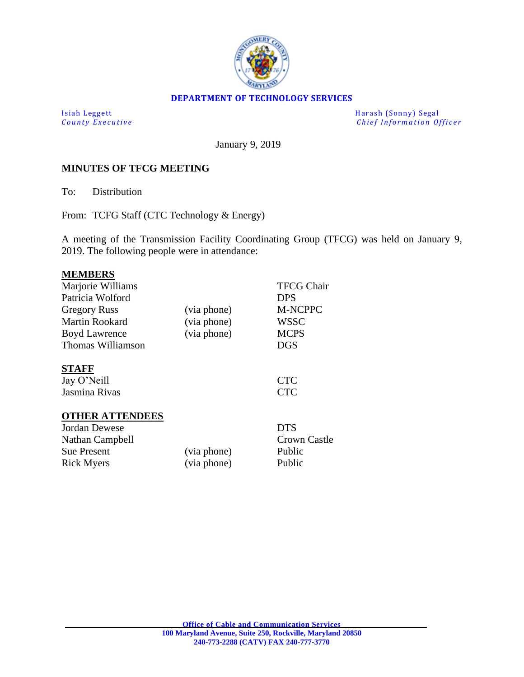

#### **DEPARTMENT OF TECHNOLOGY SERVICES**

Isiah Leggett Harash (Sonny) Segal *Chief Information Officer* 

January 9, 2019

#### **MINUTES OF TFCG MEETING**

To: Distribution

From: TCFG Staff (CTC Technology & Energy)

A meeting of the Transmission Facility Coordinating Group (TFCG) was held on January 9, 2019. The following people were in attendance:

#### **MEMBERS**

| Marjorie Williams      |             | <b>TFCG Chair</b>   |
|------------------------|-------------|---------------------|
| Patricia Wolford       |             | <b>DPS</b>          |
| <b>Gregory Russ</b>    | (via phone) | <b>M-NCPPC</b>      |
| <b>Martin Rookard</b>  | (via phone) | <b>WSSC</b>         |
| <b>Boyd Lawrence</b>   | (via phone) | <b>MCPS</b>         |
| Thomas Williamson      |             | <b>DGS</b>          |
| <b>STAFF</b>           |             |                     |
| Jay O'Neill            |             | <b>CTC</b>          |
| Jasmina Rivas          |             | <b>CTC</b>          |
| <b>OTHER ATTENDEES</b> |             |                     |
| Jordan Dewese          |             | <b>DTS</b>          |
| Nathan Campbell        |             | <b>Crown Castle</b> |
| <b>Sue Present</b>     | (via phone) | Public              |
| <b>Rick Myers</b>      | (via phone) | Public              |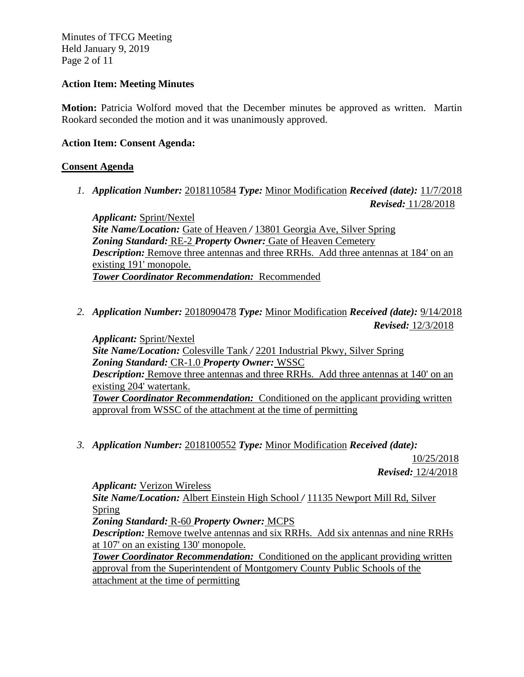Minutes of TFCG Meeting Held January 9, 2019 Page 2 of 11

## **Action Item: Meeting Minutes**

**Motion:** Patricia Wolford moved that the December minutes be approved as written. Martin Rookard seconded the motion and it was unanimously approved.

### **Action Item: Consent Agenda:**

## **Consent Agenda**

*1. Application Number:* 2018110584 *Type:* Minor Modification *Received (date):* 11/7/2018 *Revised:* 11/28/2018

*Applicant:* Sprint/Nextel *Site Name/Location:* Gate of Heaven */* 13801 Georgia Ave, Silver Spring *Zoning Standard:* RE-2 *Property Owner:* Gate of Heaven Cemetery **Description:** Remove three antennas and three RRHs. Add three antennas at 184' on an existing 191' monopole. *Tower Coordinator Recommendation:* Recommended

*2. Application Number:* 2018090478 *Type:* Minor Modification *Received (date):* 9/14/2018 *Revised:* 12/3/2018

*Applicant:* Sprint/Nextel *Site Name/Location:* Colesville Tank */* 2201 Industrial Pkwy, Silver Spring *Zoning Standard:* CR-1.0 *Property Owner:* WSSC *Description:* Remove three antennas and three RRHs. Add three antennas at 140' on an existing 204' watertank. **Tower Coordinator Recommendation:** Conditioned on the applicant providing written approval from WSSC of the attachment at the time of permitting

*3. Application Number:* 2018100552 *Type:* Minor Modification *Received (date):* 

10/25/2018

*Revised:* 12/4/2018

*Applicant:* Verizon Wireless *Site Name/Location:* Albert Einstein High School */* 11135 Newport Mill Rd, Silver Spring *Zoning Standard:* R-60 *Property Owner:* MCPS *Description:* Remove twelve antennas and six RRHs. Add six antennas and nine RRHs at 107' on an existing 130' monopole. *Tower Coordinator Recommendation:* Conditioned on the applicant providing written approval from the Superintendent of Montgomery County Public Schools of the attachment at the time of permitting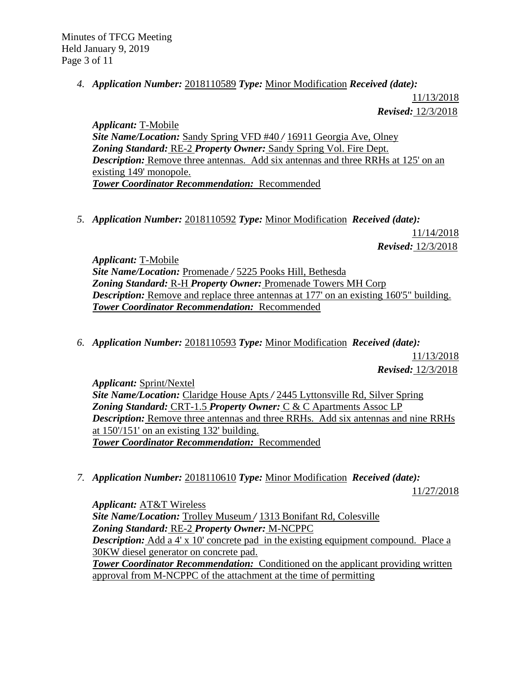Minutes of TFCG Meeting Held January 9, 2019 Page 3 of 11

*4. Application Number:* 2018110589 *Type:* Minor Modification *Received (date):* 

11/13/2018 *Revised:* 12/3/2018

*Applicant:* T-Mobile *Site Name/Location:* Sandy Spring VFD #40 */* 16911 Georgia Ave, Olney *Zoning Standard:* RE-2 *Property Owner:* Sandy Spring Vol. Fire Dept. *Description:* Remove three antennas. Add six antennas and three RRHs at 125' on an existing 149' monopole. *Tower Coordinator Recommendation:* Recommended

*5. Application Number:* 2018110592 *Type:* Minor Modification *Received (date):* 

11/14/2018 *Revised:* 12/3/2018

*Applicant:* T-Mobile *Site Name/Location:* Promenade */* 5225 Pooks Hill, Bethesda *Zoning Standard:* R-H *Property Owner:* Promenade Towers MH Corp *Description:* Remove and replace three antennas at 177' on an existing 160'5" building. *Tower Coordinator Recommendation:* Recommended

*6. Application Number:* 2018110593 *Type:* Minor Modification *Received (date):* 

11/13/2018 *Revised:* 12/3/2018

*Applicant:* Sprint/Nextel

*Site Name/Location:* Claridge House Apts */* 2445 Lyttonsville Rd, Silver Spring *Zoning Standard:* CRT-1.5 *Property Owner:* C & C Apartments Assoc LP *Description:* Remove three antennas and three RRHs. Add six antennas and nine RRHs at 150'/151' on an existing 132' building. *Tower Coordinator Recommendation:* Recommended

*7. Application Number:* 2018110610 *Type:* Minor Modification *Received (date):* 

11/27/2018

*Applicant:* AT&T Wireless *Site Name/Location:* Trolley Museum */* 1313 Bonifant Rd, Colesville *Zoning Standard:* RE-2 *Property Owner:* M-NCPPC *Description:* Add a 4' x 10' concrete pad in the existing equipment compound. Place a 30KW diesel generator on concrete pad. **Tower Coordinator Recommendation:** Conditioned on the applicant providing written approval from M-NCPPC of the attachment at the time of permitting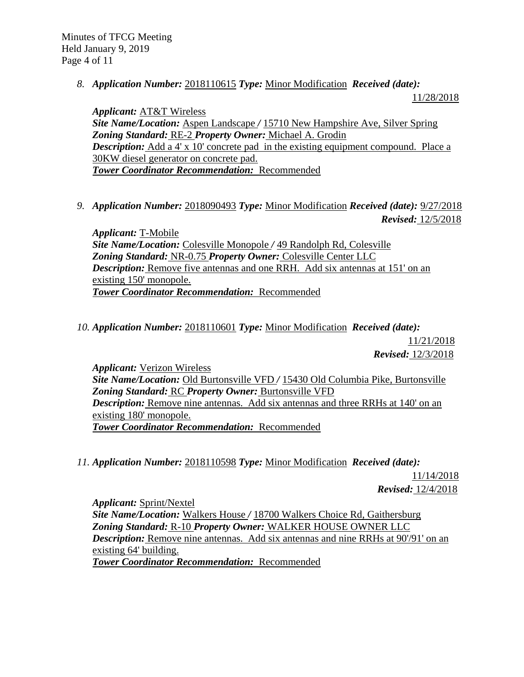*8. Application Number:* 2018110615 *Type:* Minor Modification *Received (date):* 

11/28/2018

*Applicant:* AT&T Wireless *Site Name/Location:* Aspen Landscape */* 15710 New Hampshire Ave, Silver Spring *Zoning Standard:* RE-2 *Property Owner:* Michael A. Grodin *Description:* Add a 4' x 10' concrete pad in the existing equipment compound. Place a 30KW diesel generator on concrete pad. *Tower Coordinator Recommendation:* Recommended

*9. Application Number:* 2018090493 *Type:* Minor Modification *Received (date):* 9/27/2018 *Revised:* 12/5/2018

*Applicant:* T-Mobile *Site Name/Location:* Colesville Monopole */* 49 Randolph Rd, Colesville *Zoning Standard:* NR-0.75 *Property Owner:* Colesville Center LLC *Description:* Remove five antennas and one RRH. Add six antennas at 151' on an existing 150' monopole. *Tower Coordinator Recommendation:* Recommended

*10. Application Number:* 2018110601 *Type:* Minor Modification *Received (date):* 

11/21/2018 *Revised:* 12/3/2018

*Applicant:* Verizon Wireless *Site Name/Location:* Old Burtonsville VFD */* 15430 Old Columbia Pike, Burtonsville *Zoning Standard:* RC *Property Owner:* Burtonsville VFD *Description:* Remove nine antennas. Add six antennas and three RRHs at 140' on an existing 180' monopole. *Tower Coordinator Recommendation:* Recommended

*11. Application Number:* 2018110598 *Type:* Minor Modification *Received (date):* 

11/14/2018 *Revised:* 12/4/2018

*Applicant:* Sprint/Nextel *Site Name/Location:* Walkers House */* 18700 Walkers Choice Rd, Gaithersburg *Zoning Standard:* R-10 *Property Owner:* WALKER HOUSE OWNER LLC *Description:* Remove nine antennas. Add six antennas and nine RRHs at 90'/91' on an existing 64' building. *Tower Coordinator Recommendation:* Recommended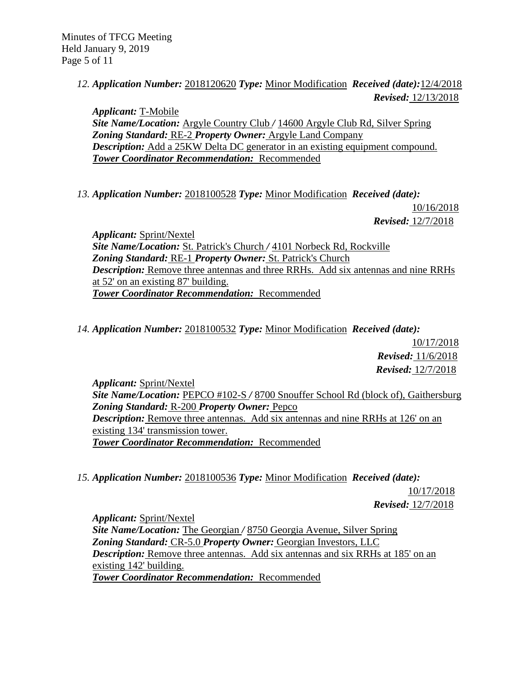*12. Application Number:* 2018120620 *Type:* Minor Modification *Received (date):*12/4/2018 *Revised:* 12/13/2018

*Applicant:* T-Mobile *Site Name/Location:* Argyle Country Club */* 14600 Argyle Club Rd, Silver Spring *Zoning Standard:* RE-2 *Property Owner:* Argyle Land Company *Description:* Add a 25KW Delta DC generator in an existing equipment compound. *Tower Coordinator Recommendation:* Recommended

*13. Application Number:* 2018100528 *Type:* Minor Modification *Received (date):* 

10/16/2018 *Revised:* 12/7/2018

*Applicant:* Sprint/Nextel *Site Name/Location:* St. Patrick's Church */* 4101 Norbeck Rd, Rockville *Zoning Standard:* RE-1 *Property Owner:* St. Patrick's Church *Description:* Remove three antennas and three RRHs. Add six antennas and nine RRHs at 52' on an existing 87' building. *Tower Coordinator Recommendation:* Recommended

*14. Application Number:* 2018100532 *Type:* Minor Modification *Received (date):* 

10/17/2018 *Revised:* 11/6/2018 *Revised:* 12/7/2018

*Applicant:* Sprint/Nextel *Site Name/Location:* PEPCO #102-S */* 8700 Snouffer School Rd (block of), Gaithersburg *Zoning Standard:* R-200 *Property Owner:* Pepco *Description:* Remove three antennas. Add six antennas and nine RRHs at 126' on an existing 134' transmission tower. *Tower Coordinator Recommendation:* Recommended

*15. Application Number:* 2018100536 *Type:* Minor Modification *Received (date):* 

10/17/2018 *Revised:* 12/7/2018

*Applicant:* Sprint/Nextel *Site Name/Location:* The Georgian */* 8750 Georgia Avenue, Silver Spring *Zoning Standard:* CR-5.0 *Property Owner:* Georgian Investors, LLC *Description:* Remove three antennas. Add six antennas and six RRHs at 185' on an existing 142' building. *Tower Coordinator Recommendation:* Recommended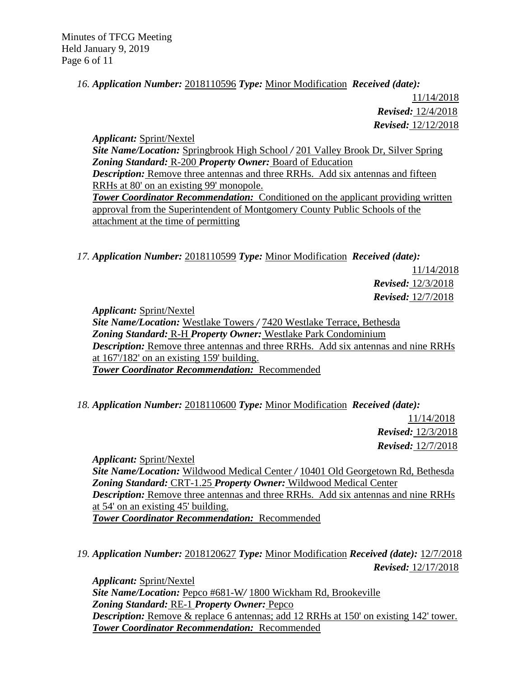Minutes of TFCG Meeting Held January 9, 2019 Page 6 of 11

## *16. Application Number:* 2018110596 *Type:* Minor Modification *Received (date):*

11/14/2018 *Revised:* 12/4/2018 *Revised:* 12/12/2018

*Applicant:* Sprint/Nextel *Site Name/Location:* Springbrook High School */* 201 Valley Brook Dr, Silver Spring *Zoning Standard:* R-200 *Property Owner:* Board of Education *Description:* Remove three antennas and three RRHs. Add six antennas and fifteen RRHs at 80' on an existing 99' monopole. **Tower Coordinator Recommendation:** Conditioned on the applicant providing written approval from the Superintendent of Montgomery County Public Schools of the attachment at the time of permitting

*17. Application Number:* 2018110599 *Type:* Minor Modification *Received (date):* 

11/14/2018 *Revised:* 12/3/2018 *Revised:* 12/7/2018

*Applicant:* Sprint/Nextel *Site Name/Location:* Westlake Towers */* 7420 Westlake Terrace, Bethesda *Zoning Standard:* R-H *Property Owner:* Westlake Park Condominium *Description:* Remove three antennas and three RRHs. Add six antennas and nine RRHs at 167'/182' on an existing 159' building. *Tower Coordinator Recommendation:* Recommended

*18. Application Number:* 2018110600 *Type:* Minor Modification *Received (date):* 

11/14/2018 *Revised:* 12/3/2018 *Revised:* 12/7/2018

*Applicant:* Sprint/Nextel *Site Name/Location:* Wildwood Medical Center */* 10401 Old Georgetown Rd, Bethesda *Zoning Standard:* CRT-1.25 *Property Owner:* Wildwood Medical Center *Description:* Remove three antennas and three RRHs. Add six antennas and nine RRHs at 54' on an existing 45' building. *Tower Coordinator Recommendation:* Recommended

*19. Application Number:* 2018120627 *Type:* Minor Modification *Received (date):* 12/7/2018 *Revised:* 12/17/2018

*Applicant:* Sprint/Nextel *Site Name/Location:* Pepco #681-W*/* 1800 Wickham Rd, Brookeville *Zoning Standard:* RE-1 *Property Owner:* Pepco *Description:* Remove & replace 6 antennas; add 12 RRHs at 150' on existing 142' tower. *Tower Coordinator Recommendation:* Recommended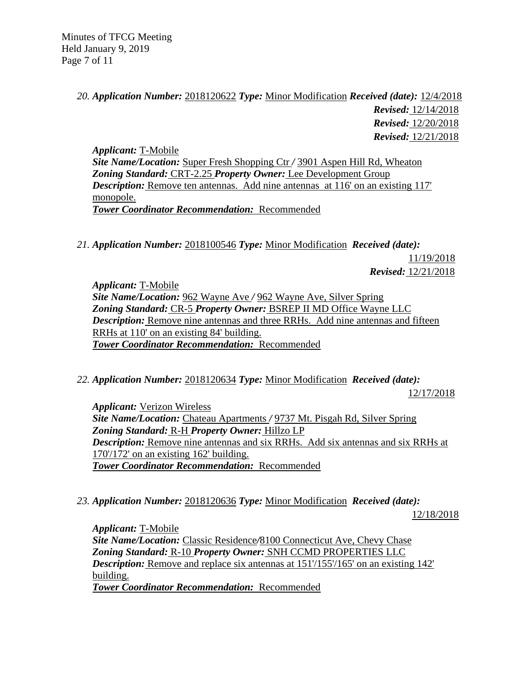Minutes of TFCG Meeting Held January 9, 2019 Page 7 of 11

# *20. Application Number:* 2018120622 *Type:* Minor Modification *Received (date):* 12/4/2018 *Revised:* 12/14/2018 *Revised:* 12/20/2018 *Revised:* 12/21/2018

*Applicant:* T-Mobile *Site Name/Location:* Super Fresh Shopping Ctr */* 3901 Aspen Hill Rd, Wheaton *Zoning Standard:* CRT-2.25 *Property Owner:* Lee Development Group *Description:* Remove ten antennas. Add nine antennas at 116' on an existing 117' monopole. *Tower Coordinator Recommendation:* Recommended

*21. Application Number:* 2018100546 *Type:* Minor Modification *Received (date):*  11/19/2018

*Revised:* 12/21/2018

*Applicant:* T-Mobile *Site Name/Location:* 962 Wayne Ave */* 962 Wayne Ave, Silver Spring *Zoning Standard:* CR-5 *Property Owner:* BSREP II MD Office Wayne LLC *Description:* Remove nine antennas and three RRHs. Add nine antennas and fifteen RRHs at 110' on an existing 84' building. *Tower Coordinator Recommendation:* Recommended

*22. Application Number:* 2018120634 *Type:* Minor Modification *Received (date):* 

12/17/2018

*Applicant:* Verizon Wireless *Site Name/Location:* Chateau Apartments */* 9737 Mt. Pisgah Rd, Silver Spring *Zoning Standard:* R-H *Property Owner:* Hillzo LP *Description:* Remove nine antennas and six RRHs. Add six antennas and six RRHs at 170'/172' on an existing 162' building. *Tower Coordinator Recommendation:* Recommended

*23. Application Number:* 2018120636 *Type:* Minor Modification *Received (date):* 

12/18/2018

*Applicant:* T-Mobile *Site Name/Location:* Classic Residence*/*8100 Connecticut Ave, Chevy Chase *Zoning Standard:* R-10 *Property Owner:* SNH CCMD PROPERTIES LLC **Description:** Remove and replace six antennas at  $151/155/165$  on an existing  $142'$ building. *Tower Coordinator Recommendation:* Recommended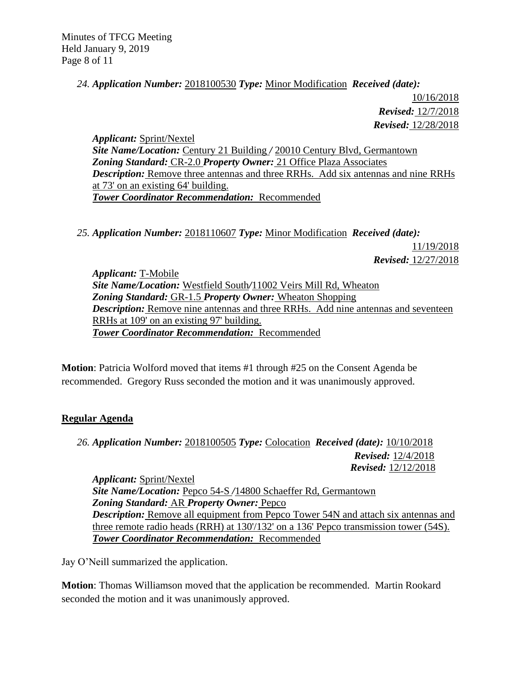## *24. Application Number:* 2018100530 *Type:* Minor Modification *Received (date):*

10/16/2018  *Revised:* 12/7/2018 *Revised:* 12/28/2018

*Applicant:* Sprint/Nextel *Site Name/Location:* Century 21 Building */* 20010 Century Blvd, Germantown *Zoning Standard:* CR-2.0 *Property Owner:* 21 Office Plaza Associates *Description:* Remove three antennas and three RRHs. Add six antennas and nine RRHs at 73' on an existing 64' building. *Tower Coordinator Recommendation:* Recommended

*25. Application Number:* 2018110607 *Type:* Minor Modification *Received (date):* 

11/19/2018 *Revised:* 12/27/2018

*Applicant:* T-Mobile *Site Name/Location:* Westfield South*/*11002 Veirs Mill Rd, Wheaton *Zoning Standard:* GR-1.5 *Property Owner:* Wheaton Shopping *Description:* Remove nine antennas and three RRHs. Add nine antennas and seventeen RRHs at 109' on an existing 97' building. *Tower Coordinator Recommendation:* Recommended

**Motion**: Patricia Wolford moved that items #1 through #25 on the Consent Agenda be recommended. Gregory Russ seconded the motion and it was unanimously approved.

# **Regular Agenda**

*26. Application Number:* 2018100505 *Type:* Colocation *Received (date):* 10/10/2018 *Revised:* 12/4/2018 *Revised:* 12/12/2018

*Applicant:* Sprint/Nextel *Site Name/Location:* Pepco 54-S */*14800 Schaeffer Rd, Germantown *Zoning Standard:* AR *Property Owner:* Pepco *Description:* Remove all equipment from Pepco Tower 54N and attach six antennas and three remote radio heads (RRH) at 130'/132' on a 136' Pepco transmission tower (54S). *Tower Coordinator Recommendation:* Recommended

Jay O'Neill summarized the application.

**Motion**: Thomas Williamson moved that the application be recommended. Martin Rookard seconded the motion and it was unanimously approved.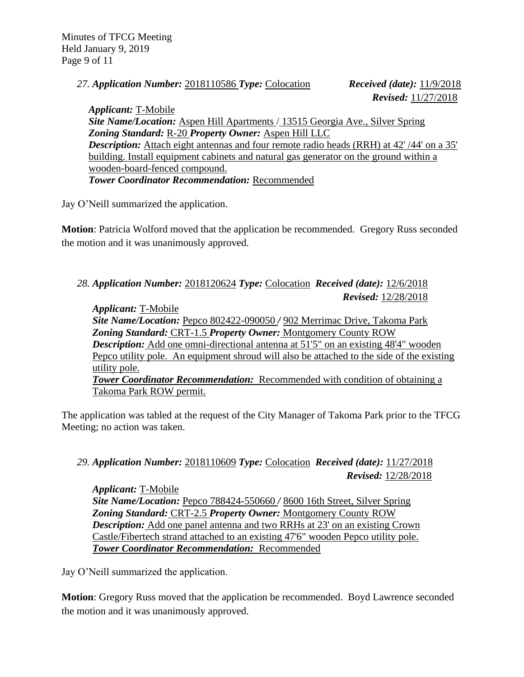Minutes of TFCG Meeting Held January 9, 2019 Page 9 of 11

*27. Application Number:* 2018110586 *Type:* Colocation *Received (date):* 11/9/2018

 *Revised:* 11/27/2018

*Applicant:* T-Mobile *Site Name/Location:* Aspen Hill Apartments / 13515 Georgia Ave., Silver Spring *Zoning Standard:* R-20 *Property Owner:* Aspen Hill LLC **Description:** Attach eight antennas and four remote radio heads (RRH) at 42' /44' on a 35' building. Install equipment cabinets and natural gas generator on the ground within a wooden-board-fenced compound. *Tower Coordinator Recommendation:* Recommended

Jay O'Neill summarized the application.

**Motion**: Patricia Wolford moved that the application be recommended. Gregory Russ seconded the motion and it was unanimously approved.

## *28. Application Number:* 2018120624 *Type:* Colocation *Received (date):* 12/6/2018 *Revised:* 12/28/2018

*Applicant:* T-Mobile *Site Name/Location:* Pepco 802422-090050 */* 902 Merrimac Drive, Takoma Park *Zoning Standard:* CRT-1.5 *Property Owner:* Montgomery County ROW *Description:* Add one omni-directional antenna at 51'5" on an existing 48'4" wooden Pepco utility pole. An equipment shroud will also be attached to the side of the existing utility pole. *Tower Coordinator Recommendation:* Recommended with condition of obtaining a Takoma Park ROW permit.

The application was tabled at the request of the City Manager of Takoma Park prior to the TFCG Meeting; no action was taken.

# *29. Application Number:* 2018110609 *Type:* Colocation *Received (date):* 11/27/2018 *Revised:* 12/28/2018

*Applicant:* T-Mobile *Site Name/Location:* Pepco 788424-550660 */* 8600 16th Street, Silver Spring *Zoning Standard:* CRT-2.5 *Property Owner:* Montgomery County ROW *Description:* Add one panel antenna and two RRHs at 23' on an existing Crown Castle/Fibertech strand attached to an existing 47'6" wooden Pepco utility pole. *Tower Coordinator Recommendation:* Recommended

Jay O'Neill summarized the application.

**Motion**: Gregory Russ moved that the application be recommended. Boyd Lawrence seconded the motion and it was unanimously approved.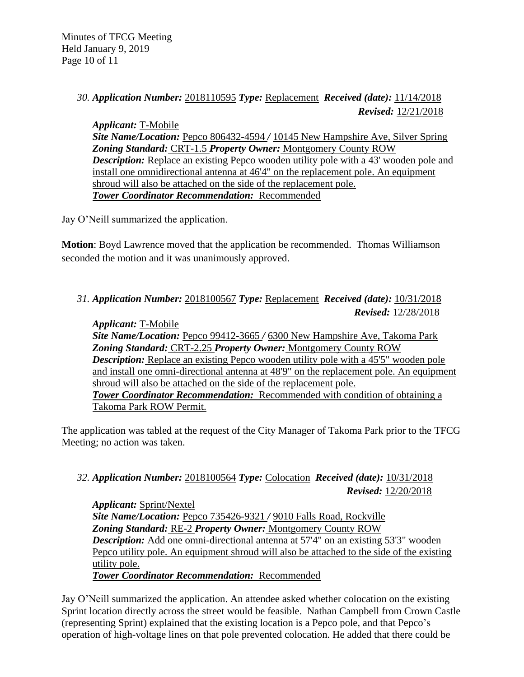Minutes of TFCG Meeting Held January 9, 2019 Page 10 of 11

## *30. Application Number:* 2018110595 *Type:* Replacement *Received (date):* 11/14/2018 *Revised:* 12/21/2018

*Applicant:* T-Mobile *Site Name/Location:* Pepco 806432-4594 */* 10145 New Hampshire Ave, Silver Spring *Zoning Standard:* CRT-1.5 *Property Owner:* Montgomery County ROW *Description:* Replace an existing Pepco wooden utility pole with a 43' wooden pole and install one omnidirectional antenna at 46'4" on the replacement pole. An equipment shroud will also be attached on the side of the replacement pole. *Tower Coordinator Recommendation:* Recommended

Jay O'Neill summarized the application.

**Motion**: Boyd Lawrence moved that the application be recommended. Thomas Williamson seconded the motion and it was unanimously approved.

## *31. Application Number:* 2018100567 *Type:* Replacement *Received (date):* 10/31/2018 *Revised:* 12/28/2018

*Applicant:* T-Mobile *Site Name/Location:* Pepco 99412-3665 */* 6300 New Hampshire Ave, Takoma Park *Zoning Standard:* CRT-2.25 *Property Owner:* Montgomery County ROW *Description:* Replace an existing Pepco wooden utility pole with a 45'5" wooden pole and install one omni-directional antenna at 48'9" on the replacement pole. An equipment shroud will also be attached on the side of the replacement pole. *Tower Coordinator Recommendation:* Recommended with condition of obtaining a Takoma Park ROW Permit.

The application was tabled at the request of the City Manager of Takoma Park prior to the TFCG Meeting; no action was taken.

# *32. Application Number:* 2018100564 *Type:* Colocation *Received (date):* 10/31/2018 *Revised:* 12/20/2018

*Applicant:* Sprint/Nextel *Site Name/Location:* Pepco 735426-9321 */* 9010 Falls Road, Rockville *Zoning Standard:* RE-2 *Property Owner:* Montgomery County ROW *Description:* Add one omni-directional antenna at 57'4" on an existing 53'3" wooden Pepco utility pole. An equipment shroud will also be attached to the side of the existing utility pole. *Tower Coordinator Recommendation:* Recommended

Jay O'Neill summarized the application. An attendee asked whether colocation on the existing Sprint location directly across the street would be feasible. Nathan Campbell from Crown Castle (representing Sprint) explained that the existing location is a Pepco pole, and that Pepco's operation of high-voltage lines on that pole prevented colocation. He added that there could be